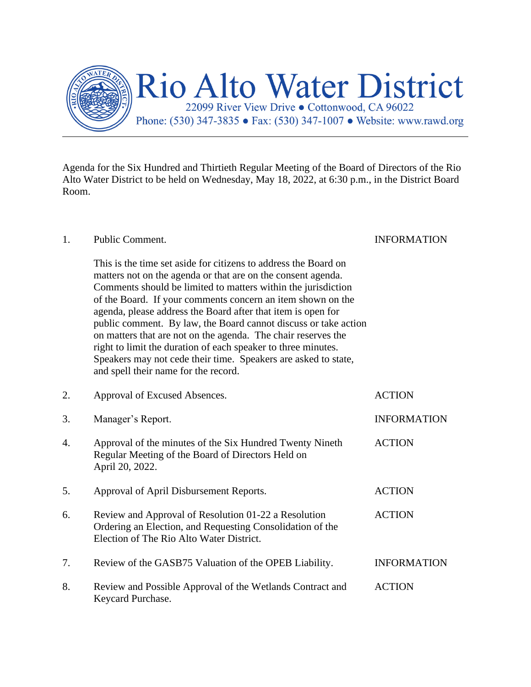

Agenda for the Six Hundred and Thirtieth Regular Meeting of the Board of Directors of the Rio Alto Water District to be held on Wednesday, May 18, 2022, at 6:30 p.m., in the District Board Room.

## 1. Public Comment. INFORMATION

This is the time set aside for citizens to address the Board on matters not on the agenda or that are on the consent agenda. Comments should be limited to matters within the jurisdiction of the Board. If your comments concern an item shown on the agenda, please address the Board after that item is open for public comment. By law, the Board cannot discuss or take action on matters that are not on the agenda. The chair reserves the right to limit the duration of each speaker to three minutes. Speakers may not cede their time. Speakers are asked to state, and spell their name for the record.

| 2. | Approval of Excused Absences.                                                                                                                                 | <b>ACTION</b>      |
|----|---------------------------------------------------------------------------------------------------------------------------------------------------------------|--------------------|
| 3. | Manager's Report.                                                                                                                                             | <b>INFORMATION</b> |
| 4. | Approval of the minutes of the Six Hundred Twenty Nineth<br>Regular Meeting of the Board of Directors Held on<br>April 20, 2022.                              | <b>ACTION</b>      |
| 5. | Approval of April Disbursement Reports.                                                                                                                       | <b>ACTION</b>      |
| 6. | Review and Approval of Resolution 01-22 a Resolution<br>Ordering an Election, and Requesting Consolidation of the<br>Election of The Rio Alto Water District. | <b>ACTION</b>      |
| 7. | Review of the GASB75 Valuation of the OPEB Liability.                                                                                                         | <b>INFORMATION</b> |
| 8. | Review and Possible Approval of the Wetlands Contract and<br>Keycard Purchase.                                                                                | <b>ACTION</b>      |